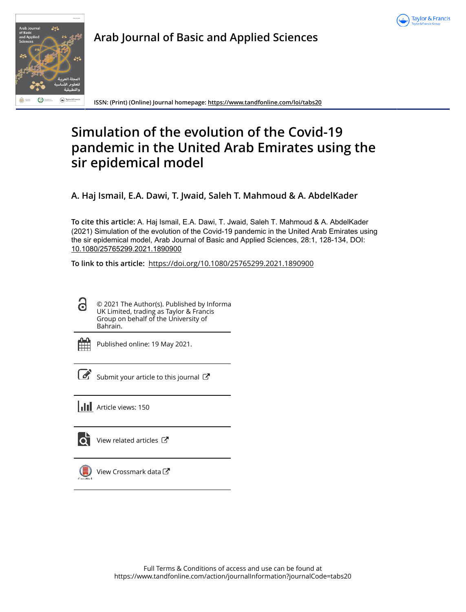



**Arab Journal of Basic and Applied Sciences**

**ISSN: (Print) (Online) Journal homepage: https://www.tandfonline.com/loi/tabs20**

# **Simulation of the evolution of the Covid-19 pandemic in the United Arab Emirates using the sir epidemical model**

**A. Haj Ismail, E.A. Dawi, T. Jwaid, Saleh T. Mahmoud & A. AbdelKader**

**To cite this article:** A. Haj Ismail, E.A. Dawi, T. Jwaid, Saleh T. Mahmoud & A. AbdelKader (2021) Simulation of the evolution of the Covid-19 pandemic in the United Arab Emirates using the sir epidemical model, Arab Journal of Basic and Applied Sciences, 28:1, 128-134, DOI: 10.1080/25765299.2021.1890900

**To link to this article:** https://doi.org/10.1080/25765299.2021.1890900

႕ © 2021 The Author(s). Published by Informa UK Limited, trading as Taylor & Francis Group on behalf of the University of Bahrain.

Published online: 19 May 2021.



 $\overline{\mathcal{G}}$  Submit your article to this journal  $\overline{\mathcal{G}}$ 

**III** Article views: 150

ЮĪ

View related articles C



View Crossmark data<sup>C</sup>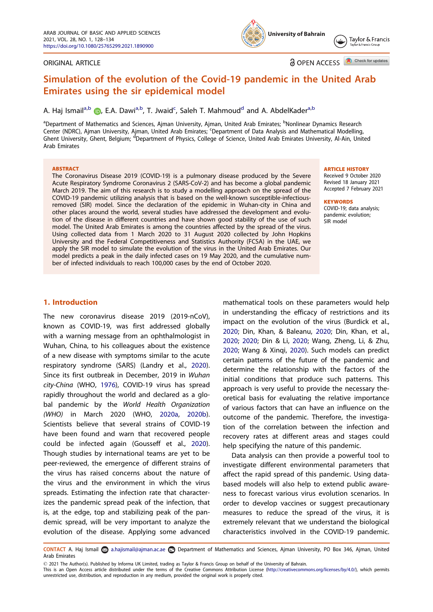#### ORIGINAL ARTICLE

**a** OPEN ACCESS **D** Check for updates

Taylor & Francis

# Simulation of the evolution of the Covid-19 pandemic in the United Arab Emirates using the sir epidemical model

# A. Haj Ismail<sup>a,b</sup> (D, E.A. Dawi<sup>a,b</sup>, T. Jwaid<sup>c</sup>, Saleh T. Mahmoud<sup>d</sup> and A. AbdelKader<sup>a,b</sup>

<sup>a</sup>Department of Mathematics and Sciences, Ajman University, Ajman, United Arab Emirates; <sup>b</sup>Nonlinear Dynamics Research Center (NDRC), Ajman University, Ajman, United Arab Emirates; <sup>c</sup>Department of Data Analysis and Mathematical Modelling, Ghent University, Ghent, Belgium; <sup>d</sup>Department of Physics, College of Science, United Arab Emirates University, Al-Ain, United Arab Emirates

#### **ABSTRACT**

The Coronavirus Disease 2019 (COVID-19) is a pulmonary disease produced by the Severe Acute Respiratory Syndrome Coronavirus 2 (SARS-CoV-2) and has become a global pandemic March 2019. The aim of this research is to study a modelling approach on the spread of the COVID-19 pandemic utilizing analysis that is based on the well-known susceptible-infectiousremoved (SIR) model. Since the declaration of the epidemic in Wuhan-city in China and other places around the world, several studies have addressed the development and evolution of the disease in different countries and have shown good stability of the use of such model. The United Arab Emirates is among the countries affected by the spread of the virus. Using collected data from 1 March 2020 to 31 August 2020 collected by John Hopkins University and the Federal Competitiveness and Statistics Authority (FCSA) in the UAE, we apply the SIR model to simulate the evolution of the virus in the United Arab Emirates. Our model predicts a peak in the daily infected cases on 19 May 2020, and the cumulative number of infected individuals to reach 100,000 cases by the end of October 2020.

ARTICLE HISTORY

Received 9 October 2020 Revised 18 January 2021 Accepted 7 February 2021

#### **KEYWORDS**

COVID-19; data analysis; pandemic evolution; SIR model

## 1. Introduction

The new coronavirus disease 2019 (2019-nCoV), known as COVID-19, was first addressed globally with a warning message from an ophthalmologist in Wuhan, China, to his colleagues about the existence of a new disease with symptoms similar to the acute respiratory syndrome (SARS) (Landry et al., 2020). Since its first outbreak in December, 2019 in *Wuhan city-China* (WHO, 1976), COVID-19 virus has spread rapidly throughout the world and declared as a global pandemic by the *World Health Organization (WHO)* in March 2020 (WHO, 2020a, 2020b). Scientists believe that several strains of COVID-19 have been found and warn that recovered people could be infected again (Gousseff et al., 2020). Though studies by international teams are yet to be peer-reviewed, the emergence of different strains of the virus has raised concerns about the nature of the virus and the environment in which the virus spreads. Estimating the infection rate that characterizes the pandemic spread peak of the infection, that is, at the edge, top and stabilizing peak of the pandemic spread, will be very important to analyze the evolution of the disease. Applying some advanced

mathematical tools on these parameters would help in understanding the efficacy of restrictions and its impact on the evolution of the virus (Burdick et al., 2020; Din, Khan, & Baleanu, 2020; Din, Khan, et al., 2020; 2020; Din & Li, 2020; Wang, Zheng, Li, & Zhu, 2020; Wang & Xinqi, 2020). Such models can predict certain patterns of the future of the pandemic and determine the relationship with the factors of the initial conditions that produce such patterns. This approach is very useful to provide the necessary theoretical basis for evaluating the relative importance of various factors that can have an influence on the outcome of the pandemic. Therefore, the investigation of the correlation between the infection and recovery rates at different areas and stages could help specifying the nature of this pandemic.

Data analysis can then provide a powerful tool to investigate different environmental parameters that affect the rapid spread of this pandemic. Using databased models will also help to extend public awareness to forecast various virus evolution scenarios. In order to develop vaccines or suggest precautionary measures to reduce the spread of the virus, it is extremely relevant that we understand the biological characteristics involved in the COVID-19 pandemic.

CONTACT A. Haj Ismail a.hajismail@ajman.ac.ae **D**epartment of Mathematics and Sciences, Ajman University, PO Box 346, Ajman, United Arab Emirates

2021 The Author(s). Published by Informa UK Limited, trading as Taylor & Francis Group on behalf of the University of Bahrain.

This is an Open Access article distributed under the terms of the Creative Commons Attribution License (http://creativecommons.org/licenses/by/4.0/), which permits unrestricted use, distribution, and reproduction in any medium, provided the original work is properly cited.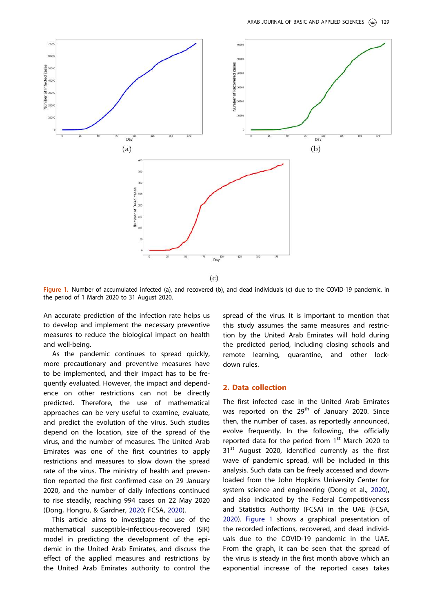

Figure 1. Number of accumulated infected (a), and recovered (b), and dead individuals (c) due to the COVID-19 pandemic, in the period of 1 March 2020 to 31 August 2020.

An accurate prediction of the infection rate helps us to develop and implement the necessary preventive measures to reduce the biological impact on health and well-being.

As the pandemic continues to spread quickly, more precautionary and preventive measures have to be implemented, and their impact has to be frequently evaluated. However, the impact and dependence on other restrictions can not be directly predicted. Therefore, the use of mathematical approaches can be very useful to examine, evaluate, and predict the evolution of the virus. Such studies depend on the location, size of the spread of the virus, and the number of measures. The United Arab Emirates was one of the first countries to apply restrictions and measures to slow down the spread rate of the virus. The ministry of health and prevention reported the first confirmed case on 29 January 2020, and the number of daily infections continued to rise steadily, reaching 994 cases on 22 May 2020 (Dong, Hongru, & Gardner, 2020; FCSA, 2020).

This article aims to investigate the use of the mathematical susceptible-infectious-recovered (SIR) model in predicting the development of the epidemic in the United Arab Emirates, and discuss the effect of the applied measures and restrictions by the United Arab Emirates authority to control the spread of the virus. It is important to mention that this study assumes the same measures and restriction by the United Arab Emirates will hold during the predicted period, including closing schools and remote learning, quarantine, and other lockdown rules.

# 2. Data collection

The first infected case in the United Arab Emirates was reported on the 29<sup>th</sup> of January 2020. Since then, the number of cases, as reportedly announced, evolve frequently. In the following, the officially reported data for the period from 1<sup>st</sup> March 2020 to 31<sup>st</sup> August 2020, identified currently as the first wave of pandemic spread, will be included in this analysis. Such data can be freely accessed and downloaded from the John Hopkins University Center for system science and engineering (Dong et al., 2020), and also indicated by the Federal Competitiveness and Statistics Authority (FCSA) in the UAE (FCSA, 2020). Figure 1 shows a graphical presentation of the recorded infections, recovered, and dead individuals due to the COVID-19 pandemic in the UAE. From the graph, it can be seen that the spread of the virus is steady in the first month above which an exponential increase of the reported cases takes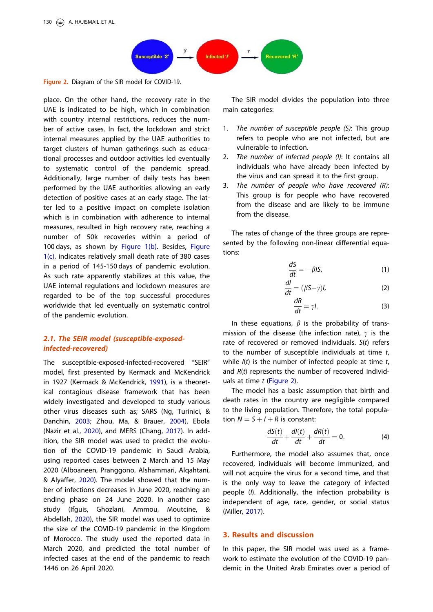

Figure 2. Diagram of the SIR model for COVID-19.

place. On the other hand, the recovery rate in the UAE is indicated to be high, which in combination with country internal restrictions, reduces the number of active cases. In fact, the lockdown and strict internal measures applied by the UAE authorities to target clusters of human gatherings such as educational processes and outdoor activities led eventually to systematic control of the pandemic spread. Additionally, large number of daily tests has been performed by the UAE authorities allowing an early detection of positive cases at an early stage. The latter led to a positive impact on complete isolation which is in combination with adherence to internal measures, resulted in high recovery rate, reaching a number of 50k recoveries within a period of 100 days, as shown by Figure 1(b). Besides, Figure 1(c), indicates relatively small death rate of 380 cases in a period of 145-150 days of pandemic evolution. As such rate apparently stabilizes at this value, the UAE internal regulations and lockdown measures are regarded to be of the top successful procedures worldwide that led eventually on systematic control of the pandemic evolution.

# 2.1. The SEIR model (susceptible-exposedinfected-recovered)

The susceptible-exposed-infected-recovered "SEIR" model, first presented by Kermack and McKendrick in 1927 (Kermack & McKendrick, 1991), is a theoretical contagious disease framework that has been widely investigated and developed to study various other virus diseases such as; SARS (Ng, Turinici, & Danchin, 2003; Zhou, Ma, & Brauer, 2004), Ebola (Nazir et al., 2020), and MERS (Chang, 2017). In addition, the SIR model was used to predict the evolution of the COVID-19 pandemic in Saudi Arabia, using reported cases between 2 March and 15 May 2020 (Alboaneen, Pranggono, Alshammari, Alqahtani, & Alyaffer, 2020). The model showed that the number of infections decreases in June 2020, reaching an ending phase on 24 June 2020. In another case study (Ifguis, Ghozlani, Ammou, Moutcine, & Abdellah, 2020), the SIR model was used to optimize the size of the COVID-19 pandemic in the Kingdom of Morocco. The study used the reported data in March 2020, and predicted the total number of infected cases at the end of the pandemic to reach 1446 on 26 April 2020.

The SIR model divides the population into three main categories:

- 1. *The number of susceptible people (S)*: This group refers to people who are not infected, but are vulnerable to infection.
- 2. *The number of infected people (I)*: It contains all individuals who have already been infected by the virus and can spread it to the first group.
- 3. *The number of people who have recovered (R)*: This group is for people who have recovered from the disease and are likely to be immune from the disease.

The rates of change of the three groups are represented by the following non-linear differential equations:

$$
\frac{dS}{dt} = -\beta I S,\tag{1}
$$

$$
\frac{dl}{dt} = (\beta S - \gamma)l,\tag{2}
$$

$$
\frac{dR}{dt} = \gamma l. \tag{3}
$$

In these equations,  $\beta$  is the probability of transmission of the disease (the infection rate),  $\gamma$  is the rate of recovered or removed individuals. *S*(*t*) refers to the number of susceptible individuals at time *t*, while *I*(*t*) is the number of infected people at time *t*, and *R*(*t*) represents the number of recovered individuals at time *t* (Figure 2).

The model has a basic assumption that birth and death rates in the country are negligible compared to the living population. Therefore, the total population  $N = S + I + R$  is constant:

$$
\frac{dS(t)}{dt} + \frac{dl(t)}{dt} + \frac{dR(t)}{dt} = 0.
$$
 (4)

Furthermore, the model also assumes that, once recovered, individuals will become immunized, and will not acquire the virus for a second time, and that is the only way to leave the category of infected people (*I*). Additionally, the infection probability is independent of age, race, gender, or social status (Miller, 2017).

# 3. Results and discussion

In this paper, the SIR model was used as a framework to estimate the evolution of the COVID-19 pandemic in the United Arab Emirates over a period of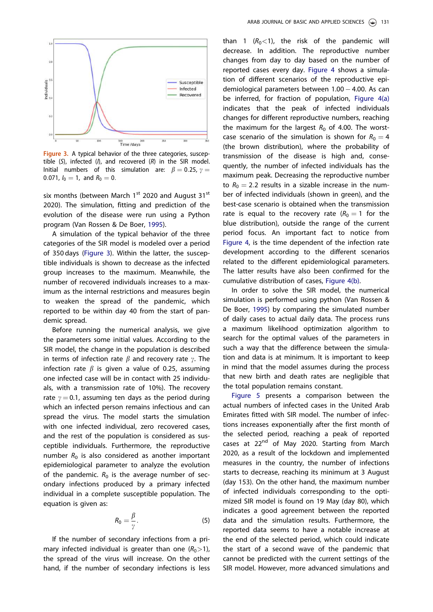

Figure 3. A typical behavior of the three categories, susceptible  $(S)$ , infected  $(I)$ , and recovered  $(R)$  in the SIR model. Initial numbers of this simulation are:  $\beta = 0.25$ ,  $\gamma =$ 0.071,  $I_0 = 1$ , and  $R_0 = 0$ .

six months (between March 1<sup>st</sup> 2020 and August 31<sup>st</sup> 2020). The simulation, fitting and prediction of the evolution of the disease were run using a Python program (Van Rossen & De Boer, 1995).

A simulation of the typical behavior of the three categories of the SIR model is modeled over a period of 350 days (Figure 3). Within the latter, the susceptible individuals is shown to decrease as the infected group increases to the maximum. Meanwhile, the number of recovered individuals increases to a maximum as the internal restrictions and measures begin to weaken the spread of the pandemic, which reported to be within day 40 from the start of pandemic spread.

Before running the numerical analysis, we give the parameters some initial values. According to the SIR model, the change in the population is described in terms of infection rate  $\beta$  and recovery rate  $\gamma$ . The infection rate  $\beta$  is given a value of 0.25, assuming one infected case will be in contact with 25 individuals, with a transmission rate of 10%). The recovery rate  $\gamma = 0.1$ , assuming ten days as the period during which an infected person remains infectious and can spread the virus. The model starts the simulation with one infected individual, zero recovered cases, and the rest of the population is considered as susceptible individuals. Furthermore, the reproductive number  $R_0$  is also considered as another important epidemiological parameter to analyze the evolution of the pandemic.  $R_0$  is the average number of secondary infections produced by a primary infected individual in a complete susceptible population. The equation is given as:

$$
R_0 = \frac{\beta}{\gamma}.\tag{5}
$$

If the number of secondary infections from a primary infected individual is greater than one  $(R_0>1)$ , the spread of the virus will increase. On the other hand, if the number of secondary infections is less than 1  $(R_0 < 1)$ , the risk of the pandemic will decrease. In addition. The reproductive number changes from day to day based on the number of reported cases every day. Figure 4 shows a simulation of different scenarios of the reproductive epidemiological parameters between  $1.00 - 4.00$ . As can be inferred, for fraction of population, Figure 4(a) indicates that the peak of infected individuals changes for different reproductive numbers, reaching the maximum for the largest  $R_0$  of 4.00. The worstcase scenario of the simulation is shown for  $R_0 = 4$ (the brown distribution), where the probability of transmission of the disease is high and, consequently, the number of infected individuals has the maximum peak. Decreasing the reproductive number to  $R_0 = 2.2$  results in a sizable increase in the number of infected individuals (shown in green), and the best-case scenario is obtained when the transmission rate is equal to the recovery rate  $(R_0 = 1)$  for the blue distribution), outside the range of the current period focus. An important fact to notice from Figure 4, is the time dependent of the infection rate development according to the different scenarios related to the different epidemiological parameters. The latter results have also been confirmed for the cumulative distribution of cases, Figure 4(b).

In order to solve the SIR model, the numerical simulation is performed using python (Van Rossen & De Boer, 1995) by comparing the simulated number of daily cases to actual daily data. The process runs a maximum likelihood optimization algorithm to search for the optimal values of the parameters in such a way that the difference between the simulation and data is at minimum. It is important to keep in mind that the model assumes during the process that new birth and death rates are negligible that the total population remains constant.

Figure 5 presents a comparison between the actual numbers of infected cases in the United Arab Emirates fitted with SIR model. The number of infections increases exponentially after the first month of the selected period, reaching a peak of reported cases at 22<sup>nd</sup> of May 2020. Starting from March 2020, as a result of the lockdown and implemented measures in the country, the number of infections starts to decrease, reaching its minimum at 3 August (day 153). On the other hand, the maximum number of infected individuals corresponding to the optimized SIR model is found on 19 May (day 80), which indicates a good agreement between the reported data and the simulation results. Furthermore, the reported data seems to have a notable increase at the end of the selected period, which could indicate the start of a second wave of the pandemic that cannot be predicted with the current settings of the SIR model. However, more advanced simulations and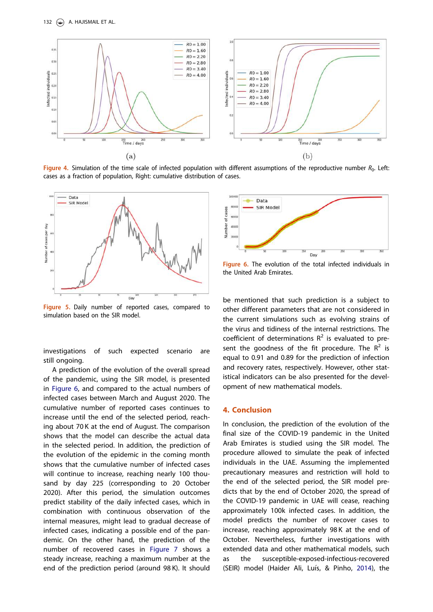

Figure 4. Simulation of the time scale of infected population with different assumptions of the reproductive number  $R_0$ . Left: cases as a fraction of population, Right: cumulative distribution of cases.



Figure 5. Daily number of reported cases, compared to simulation based on the SIR model.

investigations of such expected scenario are still ongoing.

A prediction of the evolution of the overall spread of the pandemic, using the SIR model, is presented in Figure 6, and compared to the actual numbers of infected cases between March and August 2020. The cumulative number of reported cases continues to increase until the end of the selected period, reaching about 70 K at the end of August. The comparison shows that the model can describe the actual data in the selected period. In addition, the prediction of the evolution of the epidemic in the coming month shows that the cumulative number of infected cases will continue to increase, reaching nearly 100 thousand by day 225 (corresponding to 20 October 2020). After this period, the simulation outcomes predict stability of the daily infected cases, which in combination with continuous observation of the internal measures, might lead to gradual decrease of infected cases, indicating a possible end of the pandemic. On the other hand, the prediction of the number of recovered cases in Figure 7 shows a steady increase, reaching a maximum number at the end of the prediction period (around 98 K). It should



Figure 6. The evolution of the total infected individuals in the United Arab Emirates.

be mentioned that such prediction is a subject to other different parameters that are not considered in the current simulations such as evolving strains of the virus and tidiness of the internal restrictions. The coefficient of determinations  $R^2$  is evaluated to present the goodness of the fit procedure. The  $R^2$  is equal to 0.91 and 0.89 for the prediction of infection and recovery rates, respectively. However, other statistical indicators can be also presented for the development of new mathematical models.

# 4. Conclusion

In conclusion, the prediction of the evolution of the final size of the COVID-19 pandemic in the United Arab Emirates is studied using the SIR model. The procedure allowed to simulate the peak of infected individuals in the UAE. Assuming the implemented precautionary measures and restriction will hold to the end of the selected period, the SIR model predicts that by the end of October 2020, the spread of the COVID-19 pandemic in UAE will cease, reaching approximately 100k infected cases. In addition, the model predicts the number of recover cases to increase, reaching approximately 98 K at the end of October. Nevertheless, further investigations with extended data and other mathematical models, such as the susceptible-exposed-infectious-recovered (SEIR) model (Haider Ali, Luís, & Pinho, 2014), the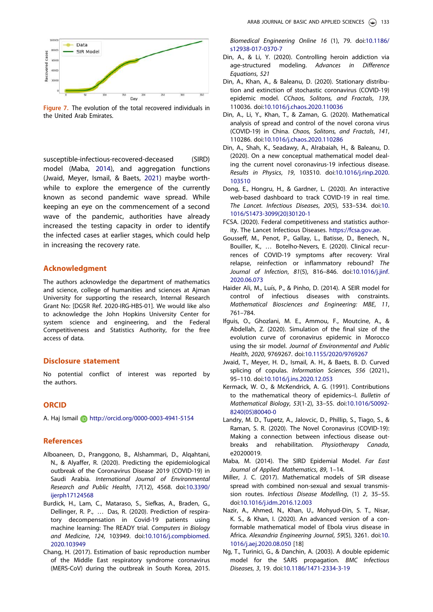

Figure 7. The evolution of the total recovered individuals in the United Arab Emirates.

susceptible-infectious-recovered-deceased (SIRD) model (Maba, 2014), and aggregation functions (Jwaid, Meyer, Ismail, & Baets, 2021) maybe worthwhile to explore the emergence of the currently known as second pandemic wave spread. While keeping an eye on the commencement of a second wave of the pandemic, authorities have already increased the testing capacity in order to identify the infected cases at earlier stages, which could help in increasing the recovery rate.

# Acknowledgment

The authors acknowledge the department of mathematics and science, college of humanities and sciences at Ajman University for supporting the research, Internal Research Grant No: [DGSR Ref. 2020-IRG-HBS-01]. We would like also to acknowledge the John Hopkins University Center for system science and engineering, and the Federal Competitiveness and Statistics Authority, for the free access of data.

## Disclosure statement

No potential conflict of interest was reported by the authors.

# **ORCID**

A. Haj Ismail http://orcid.org/0000-0003-4941-5154

## References

- Alboaneen, D., Pranggono, B., Alshammari, D., Alqahtani, N., & Alyaffer, R. (2020). Predicting the epidemiological outbreak of the Coronavirus Disease 2019 (COVID-19) in Saudi Arabia. *International Journal of Environmental Research and Public Health*, *17*(12), 4568. doi:10.3390/ ijerph17124568
- Burdick, H., Lam, C., Mataraso, S., Siefkas, A., Braden, G., Dellinger, R. P., … Das, R. (2020). Prediction of respiratory decompensation in Covid-19 patients using machine learning: The READY trial. *Computers in Biology and Medicine*, *124*, 103949. doi:10.1016/j.compbiomed. 2020.103949
- Chang, H. (2017). Estimation of basic reproduction number of the Middle East respiratory syndrome coronavirus (MERS-CoV) during the outbreak in South Korea, 2015.

*Biomedical Engineering Online 16* (1), 79. doi:10.1186/ s12938-017-0370-7

- Din, A., & Li, Y. (2020). Controlling heroin addiction via age-structured modeling. *Advances in Difference Equations*, *521*
- Din, A., Khan, A., & Baleanu, D. (2020). Stationary distribution and extinction of stochastic coronavirus (COVID-19) epidemic model. *CChaos, Solitons, and Fractals*, *139*, 110036. doi:10.1016/j.chaos.2020.110036
- Din, A., Li, Y., Khan, T., & Zaman, G. (2020). Mathematical analysis of spread and control of the novel corona virus (COVID-19) in China. *Chaos, Solitons, and Fractals*, *141*, 110286. doi:10.1016/j.chaos.2020.110286
- Din, A., Shah, K., Seadawy, A., Alrabaiah, H., & Baleanu, D. (2020). On a new conceptual mathematical model dealing the current novel coronavirus-19 infectious disease. *Results in Physics*, *19*, 103510. doi:10.1016/j.rinp.2020. 103510
- Dong, E., Hongru, H., & Gardner, L. (2020). An interactive web-based dashboard to track COVID-19 in real time. *The Lancet. Infectious Diseases*, *20*(5), 533–534. doi:10. 1016/S1473-3099(20)30120-1
- FCSA. (2020). Federal competitiveness and statistics authority. The Lancet Infectious Diseases. https://fcsa.gov.ae.
- Gousseff, M., Penot, P., Gallay, L., Batisse, D., Benech, N., Bouiller, K., … Botelho-Nevers, E. (2020). Clinical recurrences of COVID-19 symptoms after recovery: Viral relapse, reinfection or inflammatory rebound? *The Journal of Infection*, *81*(5), 816–846. doi:10.1016/j.jinf. 2020.06.073
- Haider Ali, M., Luís, P., & Pinho, D. (2014). A SEIR model for control of infectious diseases with constraints. *Mathematical Biosciences and Engineering: MBE*, *11*, 761–784.
- Ifguis, O., Ghozlani, M. E., Ammou, F., Moutcine, A., & Abdellah, Z. (2020). Simulation of the final size of the evolution curve of coronavirus epidemic in Morocco using the sir model. *Journal of Environmental and Public Health*, *2020*, 9769267. doi:10.1155/2020/9769267
- Jwaid, T., Meyer, H. D., Ismail, A. H., & Baets, B. D. Curved splicing of copulas. *Information Sciences*, *556* (2021)., 95–110. doi:10.1016/j.ins.2020.12.053
- Kermack, W. O., & McKendrick, A. G. (1991). Contributions to the mathematical theory of epidemics–I. *Bulletin of Mathematical Biology*, *53*(1-2), 33–55. doi:10.1016/S0092- 8240(05)80040-0
- Landry, M. D., Tupetz, A., Jalovcic, D., Phillip, S., Tiago, S., & Raman, S. R. (2020). The Novel Coronavirus (COVID-19): Making a connection between infectious disease outbreaks and rehabilitation. *Physiotherapy Canada*, e20200019.
- Maba, M. (2014). The SIRD Epidemial Model. *Far East Journal of Applied Mathematics*, *89*, 1–14.
- Miller, J. C. (2017). Mathematical models of SIR disease spread with combined non-sexual and sexual transmission routes. *Infectious Disease Modelling*, (1) *2*, 35–55. doi:10.1016/j.idm.2016.12.003
- Nazir, A., Ahmed, N., Khan, U., Mohyud-Din, S. T., Nisar, K. S., & Khan, I. (2020). An advanced version of a conformable mathematical model of Ebola virus disease in Africa. *Alexandria Engineering Journal*, *59*(5), 3261. doi:10. 1016/j.aej.2020.08.050 [18]
- Ng, T., Turinici, G., & Danchin, A. (2003). A double epidemic model for the SARS propagation. *BMC Infectious Diseases*, *3*, 19. doi:10.1186/1471-2334-3-19